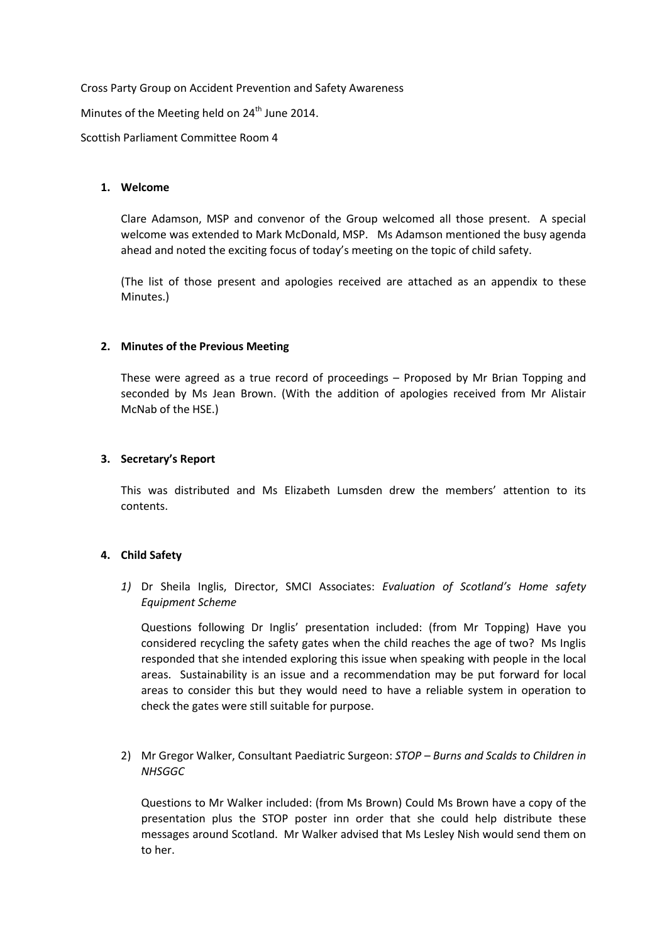Cross Party Group on Accident Prevention and Safety Awareness

Minutes of the Meeting held on  $24<sup>th</sup>$  June 2014.

Scottish Parliament Committee Room 4

# **1. Welcome**

Clare Adamson, MSP and convenor of the Group welcomed all those present. A special welcome was extended to Mark McDonald, MSP. Ms Adamson mentioned the busy agenda ahead and noted the exciting focus of today's meeting on the topic of child safety.

(The list of those present and apologies received are attached as an appendix to these Minutes.)

# **2. Minutes of the Previous Meeting**

These were agreed as a true record of proceedings – Proposed by Mr Brian Topping and seconded by Ms Jean Brown. (With the addition of apologies received from Mr Alistair McNab of the HSE.)

# **3. Secretary's Report**

This was distributed and Ms Elizabeth Lumsden drew the members' attention to its contents.

# **4. Child Safety**

*1)* Dr Sheila Inglis, Director, SMCI Associates: *Evaluation of Scotland's Home safety Equipment Scheme*

Questions following Dr Inglis' presentation included: (from Mr Topping) Have you considered recycling the safety gates when the child reaches the age of two? Ms Inglis responded that she intended exploring this issue when speaking with people in the local areas. Sustainability is an issue and a recommendation may be put forward for local areas to consider this but they would need to have a reliable system in operation to check the gates were still suitable for purpose.

2) Mr Gregor Walker, Consultant Paediatric Surgeon: *STOP – Burns and Scalds to Children in NHSGGC*

Questions to Mr Walker included: (from Ms Brown) Could Ms Brown have a copy of the presentation plus the STOP poster inn order that she could help distribute these messages around Scotland. Mr Walker advised that Ms Lesley Nish would send them on to her.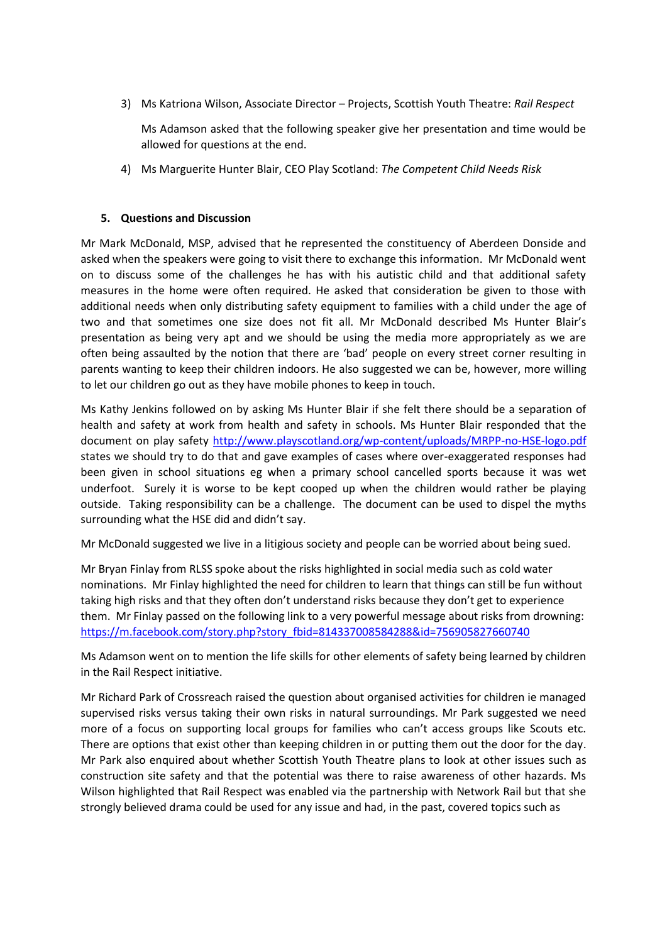3) Ms Katriona Wilson, Associate Director – Projects, Scottish Youth Theatre: *Rail Respect*

Ms Adamson asked that the following speaker give her presentation and time would be allowed for questions at the end.

4) Ms Marguerite Hunter Blair, CEO Play Scotland: *The Competent Child Needs Risk*

#### **5. Questions and Discussion**

Mr Mark McDonald, MSP, advised that he represented the constituency of Aberdeen Donside and asked when the speakers were going to visit there to exchange this information. Mr McDonald went on to discuss some of the challenges he has with his autistic child and that additional safety measures in the home were often required. He asked that consideration be given to those with additional needs when only distributing safety equipment to families with a child under the age of two and that sometimes one size does not fit all. Mr McDonald described Ms Hunter Blair's presentation as being very apt and we should be using the media more appropriately as we are often being assaulted by the notion that there are 'bad' people on every street corner resulting in parents wanting to keep their children indoors. He also suggested we can be, however, more willing to let our children go out as they have mobile phones to keep in touch.

Ms Kathy Jenkins followed on by asking Ms Hunter Blair if she felt there should be a separation of health and safety at work from health and safety in schools. Ms Hunter Blair responded that the document on play safety<http://www.playscotland.org/wp-content/uploads/MRPP-no-HSE-logo.pdf> states we should try to do that and gave examples of cases where over-exaggerated responses had been given in school situations eg when a primary school cancelled sports because it was wet underfoot. Surely it is worse to be kept cooped up when the children would rather be playing outside. Taking responsibility can be a challenge. The document can be used to dispel the myths surrounding what the HSE did and didn't say.

Mr McDonald suggested we live in a litigious society and people can be worried about being sued.

Mr Bryan Finlay from RLSS spoke about the risks highlighted in social media such as cold water nominations. Mr Finlay highlighted the need for children to learn that things can still be fun without taking high risks and that they often don't understand risks because they don't get to experience them. Mr Finlay passed on the following link to a very powerful message about risks from drowning: [https://m.facebook.com/story.php?story\\_fbid=814337008584288&id=756905827660740](https://m.facebook.com/story.php?story_fbid=814337008584288&id=756905827660740)

Ms Adamson went on to mention the life skills for other elements of safety being learned by children in the Rail Respect initiative.

Mr Richard Park of Crossreach raised the question about organised activities for children ie managed supervised risks versus taking their own risks in natural surroundings. Mr Park suggested we need more of a focus on supporting local groups for families who can't access groups like Scouts etc. There are options that exist other than keeping children in or putting them out the door for the day. Mr Park also enquired about whether Scottish Youth Theatre plans to look at other issues such as construction site safety and that the potential was there to raise awareness of other hazards. Ms Wilson highlighted that Rail Respect was enabled via the partnership with Network Rail but that she strongly believed drama could be used for any issue and had, in the past, covered topics such as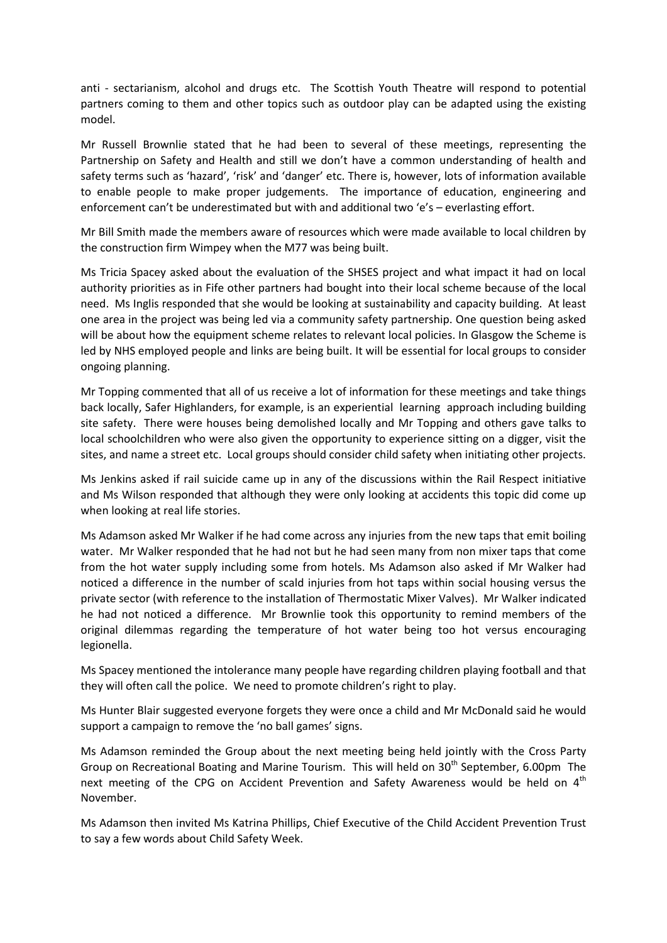anti - sectarianism, alcohol and drugs etc. The Scottish Youth Theatre will respond to potential partners coming to them and other topics such as outdoor play can be adapted using the existing model.

Mr Russell Brownlie stated that he had been to several of these meetings, representing the Partnership on Safety and Health and still we don't have a common understanding of health and safety terms such as 'hazard', 'risk' and 'danger' etc. There is, however, lots of information available to enable people to make proper judgements. The importance of education, engineering and enforcement can't be underestimated but with and additional two 'e's – everlasting effort.

Mr Bill Smith made the members aware of resources which were made available to local children by the construction firm Wimpey when the M77 was being built.

Ms Tricia Spacey asked about the evaluation of the SHSES project and what impact it had on local authority priorities as in Fife other partners had bought into their local scheme because of the local need. Ms Inglis responded that she would be looking at sustainability and capacity building. At least one area in the project was being led via a community safety partnership. One question being asked will be about how the equipment scheme relates to relevant local policies. In Glasgow the Scheme is led by NHS employed people and links are being built. It will be essential for local groups to consider ongoing planning.

Mr Topping commented that all of us receive a lot of information for these meetings and take things back locally, Safer Highlanders, for example, is an experiential learning approach including building site safety. There were houses being demolished locally and Mr Topping and others gave talks to local schoolchildren who were also given the opportunity to experience sitting on a digger, visit the sites, and name a street etc. Local groups should consider child safety when initiating other projects.

Ms Jenkins asked if rail suicide came up in any of the discussions within the Rail Respect initiative and Ms Wilson responded that although they were only looking at accidents this topic did come up when looking at real life stories.

Ms Adamson asked Mr Walker if he had come across any injuries from the new taps that emit boiling water. Mr Walker responded that he had not but he had seen many from non mixer taps that come from the hot water supply including some from hotels. Ms Adamson also asked if Mr Walker had noticed a difference in the number of scald injuries from hot taps within social housing versus the private sector (with reference to the installation of Thermostatic Mixer Valves). Mr Walker indicated he had not noticed a difference. Mr Brownlie took this opportunity to remind members of the original dilemmas regarding the temperature of hot water being too hot versus encouraging legionella.

Ms Spacey mentioned the intolerance many people have regarding children playing football and that they will often call the police. We need to promote children's right to play.

Ms Hunter Blair suggested everyone forgets they were once a child and Mr McDonald said he would support a campaign to remove the 'no ball games' signs.

Ms Adamson reminded the Group about the next meeting being held jointly with the Cross Party Group on Recreational Boating and Marine Tourism. This will held on 30<sup>th</sup> September, 6.00pm The next meeting of the CPG on Accident Prevention and Safety Awareness would be held on  $4<sup>th</sup>$ November.

Ms Adamson then invited Ms Katrina Phillips, Chief Executive of the Child Accident Prevention Trust to say a few words about Child Safety Week.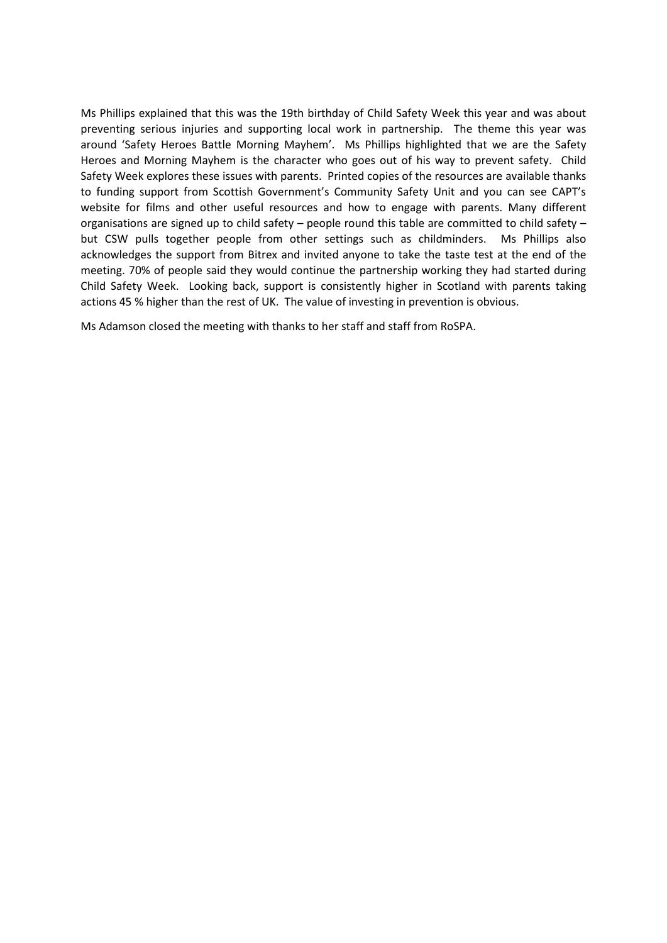Ms Phillips explained that this was the 19th birthday of Child Safety Week this year and was about preventing serious injuries and supporting local work in partnership. The theme this year was around 'Safety Heroes Battle Morning Mayhem'. Ms Phillips highlighted that we are the Safety Heroes and Morning Mayhem is the character who goes out of his way to prevent safety. Child Safety Week explores these issues with parents. Printed copies of the resources are available thanks to funding support from Scottish Government's Community Safety Unit and you can see CAPT's website for films and other useful resources and how to engage with parents. Many different organisations are signed up to child safety – people round this table are committed to child safety – but CSW pulls together people from other settings such as childminders. Ms Phillips also acknowledges the support from Bitrex and invited anyone to take the taste test at the end of the meeting. 70% of people said they would continue the partnership working they had started during Child Safety Week. Looking back, support is consistently higher in Scotland with parents taking actions 45 % higher than the rest of UK. The value of investing in prevention is obvious.

Ms Adamson closed the meeting with thanks to her staff and staff from RoSPA.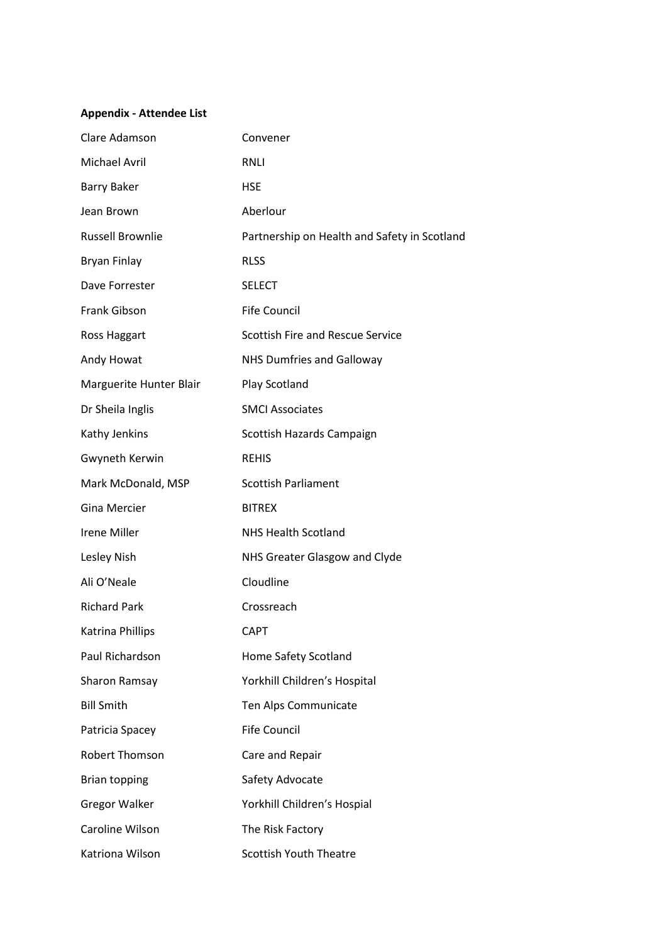# **Appendix - Attendee List**

| Clare Adamson           | Convener                                     |
|-------------------------|----------------------------------------------|
| <b>Michael Avril</b>    | <b>RNLI</b>                                  |
| <b>Barry Baker</b>      | <b>HSE</b>                                   |
| Jean Brown              | Aberlour                                     |
| <b>Russell Brownlie</b> | Partnership on Health and Safety in Scotland |
| <b>Bryan Finlay</b>     | <b>RLSS</b>                                  |
| Dave Forrester          | <b>SELECT</b>                                |
| Frank Gibson            | <b>Fife Council</b>                          |
| Ross Haggart            | <b>Scottish Fire and Rescue Service</b>      |
| Andy Howat              | <b>NHS Dumfries and Galloway</b>             |
| Marguerite Hunter Blair | Play Scotland                                |
| Dr Sheila Inglis        | <b>SMCI Associates</b>                       |
| Kathy Jenkins           | Scottish Hazards Campaign                    |
| Gwyneth Kerwin          | <b>REHIS</b>                                 |
| Mark McDonald, MSP      | <b>Scottish Parliament</b>                   |
| <b>Gina Mercier</b>     | <b>BITREX</b>                                |
| Irene Miller            | <b>NHS Health Scotland</b>                   |
| Lesley Nish             | NHS Greater Glasgow and Clyde                |
| Ali O'Neale             | Cloudline                                    |
| <b>Richard Park</b>     | Crossreach                                   |
| Katrina Phillips        | <b>CAPT</b>                                  |
| Paul Richardson         | Home Safety Scotland                         |
| Sharon Ramsay           | Yorkhill Children's Hospital                 |
| <b>Bill Smith</b>       | Ten Alps Communicate                         |
| Patricia Spacey         | <b>Fife Council</b>                          |
| Robert Thomson          | Care and Repair                              |
| <b>Brian topping</b>    | Safety Advocate                              |
| <b>Gregor Walker</b>    | Yorkhill Children's Hospial                  |
| Caroline Wilson         | The Risk Factory                             |
| Katriona Wilson         | <b>Scottish Youth Theatre</b>                |